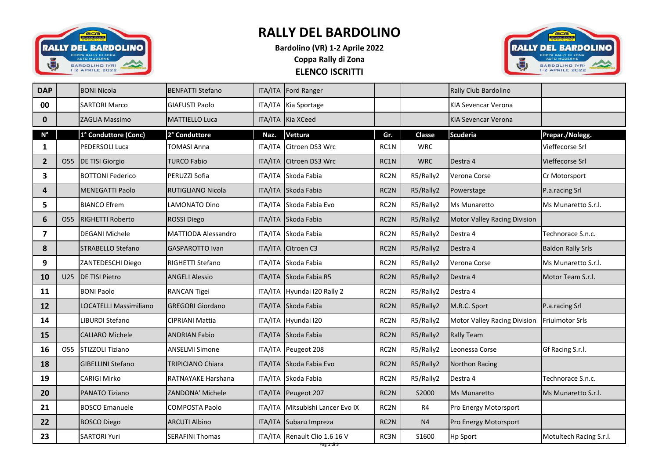

## **RALLY DEL BARDOLINO**

**ELENCO ISCRITTI Bardolino (VR) 1-2 Aprile 2022 Coppa Rally di Zona**



| <b>DAP</b>       |                 | <b>BONI Nicola</b>            | <b>BENFATTI Stefano</b>    |                | ITA/ITA Ford Ranger              |                   |            | Rally Club Bardolino         |                          |
|------------------|-----------------|-------------------------------|----------------------------|----------------|----------------------------------|-------------------|------------|------------------------------|--------------------------|
| 00               |                 | <b>SARTORI Marco</b>          | <b>GIAFUSTI Paolo</b>      |                | ITA/ITA Kia Sportage             |                   |            | KIA Sevencar Verona          |                          |
| $\mathbf 0$      |                 | ZAGLIA Massimo                | <b>MATTIELLO Luca</b>      |                | ITA/ITA Kia XCeed                |                   |            | <b>KIA Sevencar Verona</b>   |                          |
| $N^{\circ}$      |                 | 1° Conduttore (Conc)          | 2° Conduttore              | Naz.           | Vettura                          | Gr.               | Classe     | <b>Scuderia</b>              | Prepar./Nolegg.          |
| 1                |                 | PEDERSOLI Luca                | <b>TOMASI Anna</b>         | <b>ITA/ITA</b> | Citroen DS3 Wrc                  | RC1N              | <b>WRC</b> |                              | Vieffecorse Srl          |
| $\overline{2}$   | O55             | <b>DE TISI Giorgio</b>        | <b>TURCO Fabio</b>         |                | ITA/ITA Citroen DS3 Wrc          | RC1N              | <b>WRC</b> | Destra 4                     | Vieffecorse Srl          |
| 3                |                 | <b>BOTTONI Federico</b>       | PERUZZI Sofia              |                | ITA/ITA Skoda Fabia              | RC <sub>2</sub> N | R5/Rally2  | Verona Corse                 | Cr Motorsport            |
| $\boldsymbol{4}$ |                 | <b>MENEGATTI Paolo</b>        | <b>RUTIGLIANO Nicola</b>   |                | ITA/ITA Skoda Fabia              | RC2N              | R5/Rally2  | Powerstage                   | P.a.racing Srl           |
| 5                |                 | <b>BIANCO Efrem</b>           | <b>LAMONATO Dino</b>       |                | ITA/ITA Skoda Fabia Evo          | RC <sub>2</sub> N | R5/Rally2  | Ms Munaretto                 | Ms Munaretto S.r.l.      |
| $\boldsymbol{6}$ | O55             | <b>RIGHETTI Roberto</b>       | <b>ROSSI Diego</b>         |                | ITA/ITA Skoda Fabia              | RC2N              | R5/Rally2  | Motor Valley Racing Division |                          |
| 7                |                 | <b>DEGANI Michele</b>         | <b>MATTIODA Alessandro</b> |                | ITA/ITA Skoda Fabia              | RC2N              | R5/Rally2  | Destra 4                     | Technorace S.n.c.        |
| 8                |                 | <b>STRABELLO Stefano</b>      | <b>GASPAROTTO Ivan</b>     |                | ITA/ITA Citroen C3               | RC2N              | R5/Rally2  | Destra 4                     | <b>Baldon Rally Srls</b> |
| 9                |                 | ZANTEDESCHI Diego             | RIGHETTI Stefano           |                | ITA/ITA Skoda Fabia              | RC2N              | R5/Rally2  | Verona Corse                 | Ms Munaretto S.r.l.      |
| 10               | U25             | <b>DE TISI Pietro</b>         | <b>ANGELI Alessio</b>      |                | ITA/ITA Skoda Fabia R5           | RC <sub>2</sub> N | R5/Rally2  | Destra 4                     | Motor Team S.r.l.        |
| 11               |                 | <b>BONI Paolo</b>             | <b>RANCAN Tigei</b>        |                | ITA/ITA Hyundai I20 Rally 2      | RC <sub>2</sub> N | R5/Rally2  | Destra 4                     |                          |
| 12               |                 | <b>LOCATELLI Massimiliano</b> | <b>GREGORI Giordano</b>    |                | ITA/ITA Skoda Fabia              | RC2N              | R5/Rally2  | M.R.C. Sport                 | P.a.racing Srl           |
| 14               |                 | LIBURDI Stefano               | <b>CIPRIANI Mattia</b>     |                | ITA/ITA Hyundai I20              | RC2N              | R5/Rally2  | Motor Valley Racing Division | <b>Friulmotor Srls</b>   |
| 15               |                 | <b>CALIARO Michele</b>        | <b>ANDRIAN Fabio</b>       |                | ITA/ITA Skoda Fabia              | RC2N              | R5/Rally2  | <b>Rally Team</b>            |                          |
| 16               | O <sub>55</sub> | STIZZOLI Tiziano              | <b>ANSELMI Simone</b>      |                | ITA/ITA Peugeot 208              | RC <sub>2</sub> N | R5/Rally2  | Leonessa Corse               | Gf Racing S.r.l.         |
| 18               |                 | <b>GIBELLINI Stefano</b>      | <b>TRIPICIANO Chiara</b>   |                | ITA/ITA Skoda Fabia Evo          | RC2N              | R5/Rally2  | Northon Racing               |                          |
| 19               |                 | <b>CARIGI Mirko</b>           | RATNAYAKE Harshana         |                | ITA/ITA Skoda Fabia              | RC <sub>2</sub> N | R5/Rally2  | Destra 4                     | Technorace S.n.c.        |
| 20               |                 | <b>PANATO Tiziano</b>         | <b>ZANDONA' Michele</b>    |                | ITA/ITA Peugeot 207              | RC <sub>2</sub> N | S2000      | <b>Ms Munaretto</b>          | Ms Munaretto S.r.I.      |
| 21               |                 | <b>BOSCO Emanuele</b>         | <b>COMPOSTA Paolo</b>      |                | ITA/ITA Mitsubishi Lancer Evo IX | RC2N              | R4         | Pro Energy Motorsport        |                          |
| 22               |                 | <b>BOSCO Diego</b>            | <b>ARCUTI Albino</b>       |                | ITA/ITA Subaru Impreza           | RC2N              | N4         | Pro Energy Motorsport        |                          |
| 23               |                 | <b>SARTORI Yuri</b>           | <b>SERAFINI Thomas</b>     |                | ITA/ITA Renault Clio 1.6 16 V    | RC3N              | S1600      | <b>Hp Sport</b>              | Motultech Racing S.r.l.  |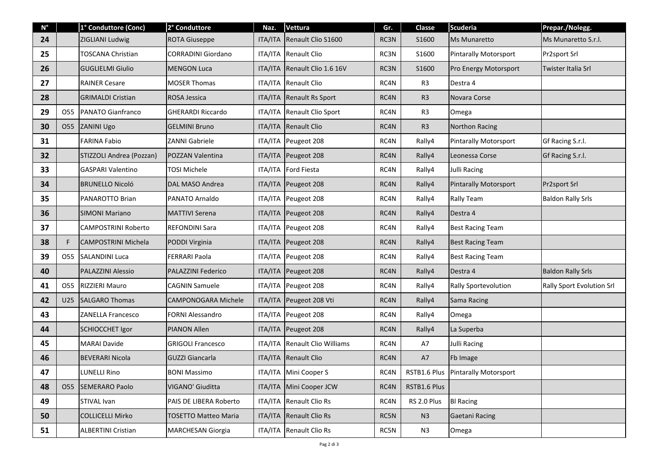| $N^{\circ}$ |                 | 1° Conduttore (Conc)       | 2° Conduttore               | Naz.           | Vettura                       | Gr.  | <b>Classe</b>  | <b>Scuderia</b>                    | Prepar./Nolegg.           |
|-------------|-----------------|----------------------------|-----------------------------|----------------|-------------------------------|------|----------------|------------------------------------|---------------------------|
| 24          |                 | ZIGLIANI Ludwig            | <b>ROTA Giuseppe</b>        | <b>ITA/ITA</b> | Renault Clio S1600            | RC3N | S1600          | Ms Munaretto                       | Ms Munaretto S.r.l.       |
| 25          |                 | <b>TOSCANA Christian</b>   | <b>CORRADINI Giordano</b>   |                | ITA/ITA Renault Clio          | RC3N | S1600          | <b>Pintarally Motorsport</b>       | Pr2sport Srl              |
| 26          |                 | <b>GUGLIELMI Giulio</b>    | <b>MENGON Luca</b>          | <b>ITA/ITA</b> | Renault Clio 1.6 16V          | RC3N | S1600          | Pro Energy Motorsport              | Twister Italia Srl        |
| 27          |                 | <b>RAINER Cesare</b>       | <b>MOSER Thomas</b>         |                | ITA/ITA Renault Clio          | RC4N | R <sub>3</sub> | Destra 4                           |                           |
| 28          |                 | <b>GRIMALDI Cristian</b>   | <b>ROSA Jessica</b>         | <b>ITA/ITA</b> | Renault Rs Sport              | RC4N | R <sub>3</sub> | Novara Corse                       |                           |
| 29          | 055             | <b>PANATO Gianfranco</b>   | <b>GHERARDI Riccardo</b>    | ITA/ITA        | Renault Clio Sport            | RC4N | R <sub>3</sub> | Omega                              |                           |
| 30          | O <sub>55</sub> | ZANINI Ugo                 | <b>GELMINI Bruno</b>        | ITA/ITA        | Renault Clio                  | RC4N | R <sub>3</sub> | Northon Racing                     |                           |
| 31          |                 | <b>FARINA Fabio</b>        | ZANNI Gabriele              |                | ITA/ITA Peugeot 208           | RC4N | Rally4         | <b>Pintarally Motorsport</b>       | Gf Racing S.r.l.          |
| 32          |                 | STIZZOLI Andrea (Pozzan)   | POZZAN Valentina            |                | ITA/ITA Peugeot 208           | RC4N | Rally4         | Leonessa Corse                     | Gf Racing S.r.l.          |
| 33          |                 | <b>GASPARI Valentino</b>   | <b>TOSI Michele</b>         |                | ITA/ITA Ford Fiesta           | RC4N | Rally4         | Julli Racing                       |                           |
| 34          |                 | <b>BRUNELLO Nicoló</b>     | DAL MASO Andrea             |                | ITA/ITA Peugeot 208           | RC4N | Rally4         | <b>Pintarally Motorsport</b>       | Pr2sport Srl              |
| 35          |                 | PANAROTTO Brian            | PANATO Arnaldo              |                | ITA/ITA Peugeot 208           | RC4N | Rally4         | Rally Team                         | <b>Baldon Rally Srls</b>  |
| 36          |                 | <b>SIMONI Mariano</b>      | <b>MATTIVI Serena</b>       |                | ITA/ITA Peugeot 208           | RC4N | Rally4         | Destra 4                           |                           |
| 37          |                 | <b>CAMPOSTRINI Roberto</b> | <b>REFONDINI Sara</b>       |                | ITA/ITA Peugeot 208           | RC4N | Rally4         | <b>Best Racing Team</b>            |                           |
| 38          | F               | <b>CAMPOSTRINI Michela</b> | PODDI Virginia              |                | ITA/ITA Peugeot 208           | RC4N | Rally4         | <b>Best Racing Team</b>            |                           |
| 39          | 055             | <b>SALANDINI Luca</b>      | <b>FERRARI Paola</b>        |                | ITA/ITA Peugeot 208           | RC4N | Rally4         | <b>Best Racing Team</b>            |                           |
| 40          |                 | <b>PALAZZINI Alessio</b>   | <b>PALAZZINI Federico</b>   |                | ITA/ITA Peugeot 208           | RC4N | Rally4         | Destra 4                           | <b>Baldon Rally Srls</b>  |
| 41          | O55             | <b>RIZZIERI Mauro</b>      | <b>CAGNIN Samuele</b>       |                | ITA/ITA Peugeot 208           | RC4N | Rally4         | Rally Sportevolution               | Rally Sport Evolution Srl |
| 42          | U25             | <b>SALGARO Thomas</b>      | <b>CAMPONOGARA Michele</b>  | ITA/ITA        | Peugeot 208 Vti               | RC4N | Rally4         | Sama Racing                        |                           |
| 43          |                 | <b>ZANELLA Francesco</b>   | <b>FORNI Alessandro</b>     |                | ITA/ITA Peugeot 208           | RC4N | Rally4         | Omega                              |                           |
| 44          |                 | <b>SCHIOCCHET Igor</b>     | <b>PIANON Allen</b>         |                | ITA/ITA Peugeot 208           | RC4N | Rally4         | La Superba                         |                           |
| 45          |                 | <b>MARAI Davide</b>        | <b>GRIGOLI Francesco</b>    |                | ITA/ITA Renault Clio Williams | RC4N | A7             | <b>Julli Racing</b>                |                           |
| 46          |                 | <b>BEVERARI Nicola</b>     | <b>GUZZI Giancarla</b>      |                | ITA/ITA Renault Clio          | RC4N | A7             | Fb Image                           |                           |
| 47          |                 | <b>LUNELLI Rino</b>        | <b>BONI Massimo</b>         |                | ITA/ITA Mini Cooper S         | RC4N |                | RSTB1.6 Plus Pintarally Motorsport |                           |
| 48          | 055             | <b>SEMERARO Paolo</b>      | VIGANO' Giuditta            |                | ITA/ITA Mini Cooper JCW       | RC4N | RSTB1.6 Plus   |                                    |                           |
| 49          |                 | STIVAL Ivan                | PAIS DE LIBERA Roberto      |                | ITA/ITA Renault Clio Rs       | RC4N | RS 2.0 Plus    | <b>BI Racing</b>                   |                           |
| 50          |                 | <b>COLLICELLI Mirko</b>    | <b>TOSETTO Matteo Maria</b> | ITA/ITA        | <b>Renault Clio Rs</b>        | RC5N | N3             | Gaetani Racing                     |                           |
| 51          |                 | <b>ALBERTINI Cristian</b>  | <b>MARCHESAN Giorgia</b>    | ITA/ITA        | <b>Renault Clio Rs</b>        | RC5N | N3             | Omega                              |                           |